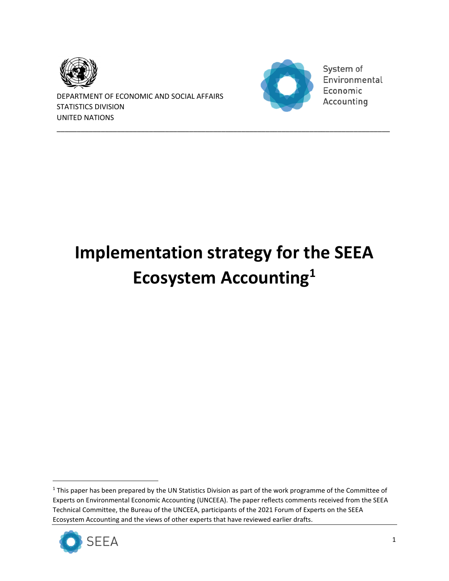

DEPARTMENT OF ECONOMIC AND SOCIAL AFFAIRS STATISTICS DIVISION UNITED NATIONS



System of Environmental Economic Accounting

# **Implementation strategy for the SEEA Ecosystem Accounting<sup>1</sup>**

\_\_\_\_\_\_\_\_\_\_\_\_\_\_\_\_\_\_\_\_\_\_\_\_\_\_\_\_\_\_\_\_\_\_\_\_\_\_\_\_\_\_\_\_\_\_\_\_\_\_\_\_\_\_\_\_\_\_\_\_\_\_\_\_\_\_\_\_\_\_\_\_\_\_\_\_\_\_\_\_\_\_\_

<sup>&</sup>lt;sup>1</sup> This paper has been prepared by the UN Statistics Division as part of the work programme of the Committee of Experts on Environmental Economic Accounting (UNCEEA). The paper reflects comments received from the SEEA Technical Committee, the Bureau of the UNCEEA, participants of the 2021 Forum of Experts on the SEEA Ecosystem Accounting and the views of other experts that have reviewed earlier drafts.

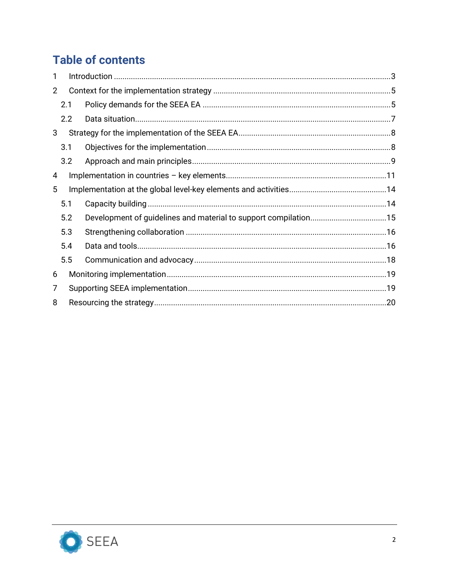# **Table of contents**

| 1              |     |  |  |
|----------------|-----|--|--|
| $\overline{2}$ |     |  |  |
|                | 2.1 |  |  |
|                | 2.2 |  |  |
| 3              |     |  |  |
|                | 3.1 |  |  |
|                | 3.2 |  |  |
| 4              |     |  |  |
| 5              |     |  |  |
|                | 5.1 |  |  |
|                | 5.2 |  |  |
|                | 5.3 |  |  |
|                | 5.4 |  |  |
|                | 5.5 |  |  |
| 6              |     |  |  |
| 7              |     |  |  |
| 8              |     |  |  |

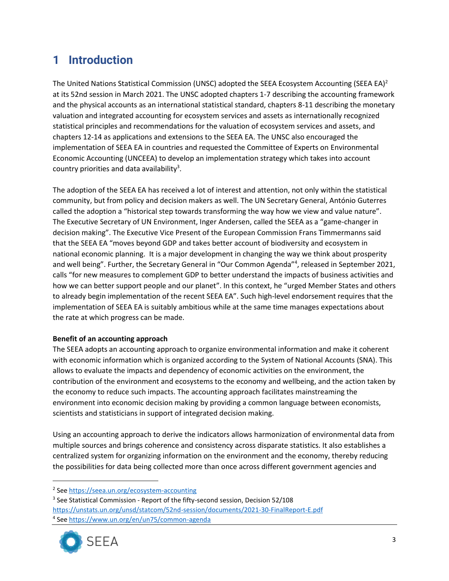# <span id="page-2-0"></span>**1 Introduction**

The United Nations Statistical Commission (UNSC) adopted the SEEA Ecosystem Accounting (SEEA EA)<sup>2</sup> at its 52nd session in March 2021. The UNSC adopted chapters 1-7 describing the accounting framework and the physical accounts as an international statistical standard, chapters 8-11 describing the monetary valuation and integrated accounting for ecosystem services and assets as internationally recognized statistical principles and recommendations for the valuation of ecosystem services and assets, and chapters 12-14 as applications and extensions to the SEEA EA. The UNSC also encouraged the implementation of SEEA EA in countries and requested the Committee of Experts on Environmental Economic Accounting (UNCEEA) to develop an implementation strategy which takes into account country priorities and data availability<sup>3</sup>.

The adoption of the SEEA EA has received a lot of interest and attention, not only within the statistical community, but from policy and decision makers as well. The UN Secretary General, António Guterres called the adoption a "historical step towards transforming the way how we view and value nature". The Executive Secretary of UN Environment, Inger Andersen, called the SEEA as a "game-changer in decision making". The Executive Vice Present of the European Commission Frans Timmermanns said that the SEEA EA "moves beyond GDP and takes better account of biodiversity and ecosystem in national economic planning. It is a major development in changing the way we think about prosperity and well being". Further, the Secretary General in "Our Common Agenda"<sup>4</sup>, released in September 2021, calls "for new measures to complement GDP to better understand the impacts of business activities and how we can better support people and our planet". In this context, he "urged Member States and others to already begin implementation of the recent SEEA EA". Such high-level endorsement requires that the implementation of SEEA EA is suitably ambitious while at the same time manages expectations about the rate at which progress can be made.

#### **Benefit of an accounting approach**

The SEEA adopts an accounting approach to organize environmental information and make it coherent with economic information which is organized according to the System of National Accounts (SNA). This allows to evaluate the impacts and dependency of economic activities on the environment, the contribution of the environment and ecosystems to the economy and wellbeing, and the action taken by the economy to reduce such impacts. The accounting approach facilitates mainstreaming the environment into economic decision making by providing a common language between economists, scientists and statisticians in support of integrated decision making.

Using an accounting approach to derive the indicators allows harmonization of environmental data from multiple sources and brings coherence and consistency across disparate statistics. It also establishes a centralized system for organizing information on the environment and the economy, thereby reducing the possibilities for data being collected more than once across different government agencies and

<sup>&</sup>lt;sup>3</sup> See Statistical Commission - Report of the fifty-second session, Decision 52/108 <https://unstats.un.org/unsd/statcom/52nd-session/documents/2021-30-FinalReport-E.pdf> 4 See<https://www.un.org/en/un75/common-agenda>



<sup>&</sup>lt;sup>2</sup> See<https://seea.un.org/ecosystem-accounting>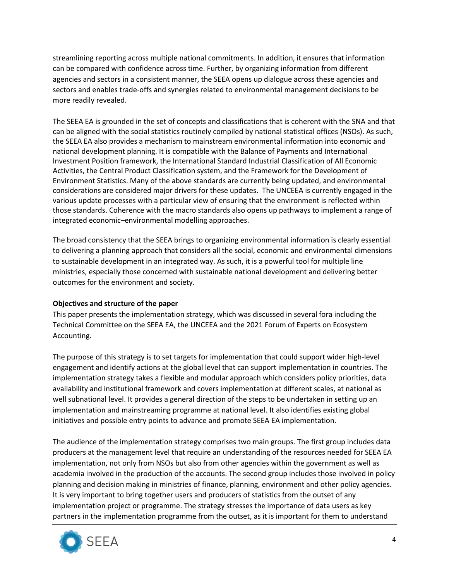streamlining reporting across multiple national commitments. In addition, it ensures that information can be compared with confidence across time. Further, by organizing information from different agencies and sectors in a consistent manner, the SEEA opens up dialogue across these agencies and sectors and enables trade-offs and synergies related to environmental management decisions to be more readily revealed.

The SEEA EA is grounded in the set of concepts and classifications that is coherent with the SNA and that can be aligned with the social statistics routinely compiled by national statistical offices (NSOs). As such, the SEEA EA also provides a mechanism to mainstream environmental information into economic and national development planning. It is compatible with the Balance of Payments and International Investment Position framework, the International Standard Industrial Classification of All Economic Activities, the Central Product Classification system, and the Framework for the Development of Environment Statistics. Many of the above standards are currently being updated, and environmental considerations are considered major drivers for these updates. The UNCEEA is currently engaged in the various update processes with a particular view of ensuring that the environment is reflected within those standards. Coherence with the macro standards also opens up pathways to implement a range of integrated economic–environmental modelling approaches.

The broad consistency that the SEEA brings to organizing environmental information is clearly essential to delivering a planning approach that considers all the social, economic and environmental dimensions to sustainable development in an integrated way. As such, it is a powerful tool for multiple line ministries, especially those concerned with sustainable national development and delivering better outcomes for the environment and society.

#### **Objectives and structure of the paper**

This paper presents the implementation strategy, which was discussed in several fora including the Technical Committee on the SEEA EA, the UNCEEA and the 2021 Forum of Experts on Ecosystem Accounting.

The purpose of this strategy is to set targets for implementation that could support wider high-level engagement and identify actions at the global level that can support implementation in countries. The implementation strategy takes a flexible and modular approach which considers policy priorities, data availability and institutional framework and covers implementation at different scales, at national as well subnational level. It provides a general direction of the steps to be undertaken in setting up an implementation and mainstreaming programme at national level. It also identifies existing global initiatives and possible entry points to advance and promote SEEA EA implementation.

The audience of the implementation strategy comprises two main groups. The first group includes data producers at the management level that require an understanding of the resources needed for SEEA EA implementation, not only from NSOs but also from other agencies within the government as well as academia involved in the production of the accounts. The second group includes those involved in policy planning and decision making in ministries of finance, planning, environment and other policy agencies. It is very important to bring together users and producers of statistics from the outset of any implementation project or programme. The strategy stresses the importance of data users as key partners in the implementation programme from the outset, as it is important for them to understand

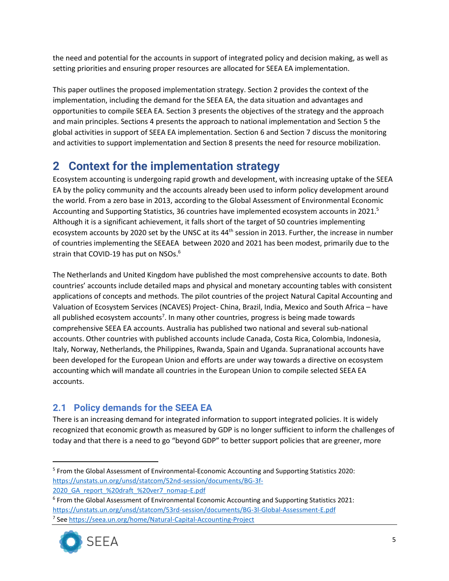the need and potential for the accounts in support of integrated policy and decision making, as well as setting priorities and ensuring proper resources are allocated for SEEA EA implementation.

This paper outlines the proposed implementation strategy. Section 2 provides the context of the implementation, including the demand for the SEEA EA, the data situation and advantages and opportunities to compile SEEA EA. Section 3 presents the objectives of the strategy and the approach and main principles. Sections 4 presents the approach to national implementation and Section 5 the global activities in support of SEEA EA implementation. Section 6 and Section 7 discuss the monitoring and activities to support implementation and Section 8 presents the need for resource mobilization.

# <span id="page-4-0"></span>**2 Context for the implementation strategy**

Ecosystem accounting is undergoing rapid growth and development, with increasing uptake of the SEEA EA by the policy community and the accounts already been used to inform policy development around the world. From a zero base in 2013, according to the Global Assessment of Environmental Economic Accounting and Supporting Statistics, 36 countries have implemented ecosystem accounts in 2021.<sup>5</sup> Although it is a significant achievement, it falls short of the target of 50 countries implementing ecosystem accounts by 2020 set by the UNSC at its 44<sup>th</sup> session in 2013. Further, the increase in number of countries implementing the SEEAEA between 2020 and 2021 has been modest, primarily due to the strain that COVID-19 has put on NSOs.<sup>6</sup>

The Netherlands and United Kingdom have published the most comprehensive accounts to date. Both countries' accounts include detailed maps and physical and monetary accounting tables with consistent applications of concepts and methods. The pilot countries of the project Natural Capital Accounting and Valuation of Ecosystem Services (NCAVES) Project- China, Brazil, India, Mexico and South Africa – have all published ecosystem accounts<sup>7</sup>. In many other countries, progress is being made towards comprehensive SEEA EA accounts. Australia has published two national and several sub-national accounts. Other countries with published accounts include Canada, Costa Rica, Colombia, Indonesia, Italy, Norway, Netherlands, the Philippines, Rwanda, Spain and Uganda. Supranational accounts have been developed for the European Union and efforts are under way towards a directive on ecosystem accounting which will mandate all countries in the European Union to compile selected SEEA EA accounts.

### <span id="page-4-1"></span>**2.1 Policy demands for the SEEA EA**

There is an increasing demand for integrated information to support integrated policies. It is widely recognized that economic growth as measured by GDP is no longer sufficient to inform the challenges of today and that there is a need to go "beyond GDP" to better support policies that are greener, more

<sup>6</sup> From the Global Assessment of Environmental Economic Accounting and Supporting Statistics 2021: <https://unstats.un.org/unsd/statcom/53rd-session/documents/BG-3l-Global-Assessment-E.pdf> 7 See<https://seea.un.org/home/Natural-Capital-Accounting-Project>



<sup>&</sup>lt;sup>5</sup> From the Global Assessment of Environmental-Economic Accounting and Supporting Statistics 2020: [https://unstats.un.org/unsd/statcom/52nd-session/documents/BG-3f-](https://unstats.un.org/unsd/statcom/52nd-session/documents/BG-3f-2020_GA_report_%20draft_%20ver7_nomap-E.pdf)2020 GA report %20draft %20ver7 nomap-E.pdf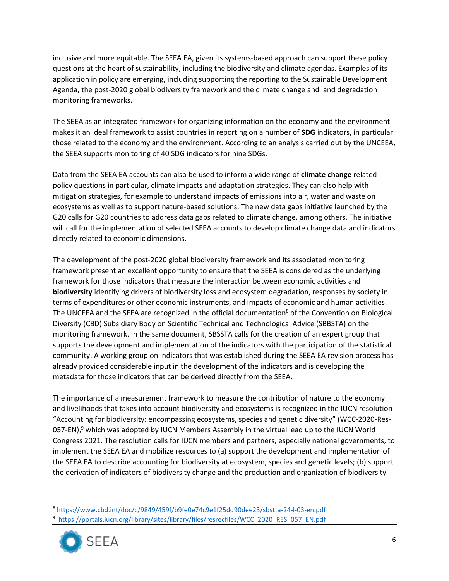inclusive and more equitable. The SEEA EA, given its systems-based approach can support these policy questions at the heart of sustainability, including the biodiversity and climate agendas. Examples of its application in policy are emerging, including supporting the reporting to the Sustainable Development Agenda, the post-2020 global biodiversity framework and the climate change and land degradation monitoring frameworks.

The SEEA as an integrated framework for organizing information on the economy and the environment makes it an ideal framework to assist countries in reporting on a number of **SDG** indicators, in particular those related to the economy and the environment. According to an analysis carried out by the UNCEEA, the SEEA supports monitoring of 40 SDG indicators for nine SDGs.

Data from the SEEA EA accounts can also be used to inform a wide range of **climate change** related policy questions in particular, climate impacts and adaptation strategies. They can also help with mitigation strategies, for example to understand impacts of emissions into air, water and waste on ecosystems as well as to support nature-based solutions. The new data gaps initiative launched by the G20 calls for G20 countries to address data gaps related to climate change, among others. The initiative will call for the implementation of selected SEEA accounts to develop climate change data and indicators directly related to economic dimensions.

The development of the post-2020 global biodiversity framework and its associated monitoring framework present an excellent opportunity to ensure that the SEEA is considered as the underlying framework for those indicators that measure the interaction between economic activities and **biodiversity** identifying drivers of biodiversity loss and ecosystem degradation, responses by society in terms of expenditures or other economic instruments, and impacts of economic and human activities. The UNCEEA and the SEEA are recognized in the official documentation<sup>8</sup> of the Convention on Biological Diversity (CBD) Subsidiary Body on Scientific Technical and Technological Advice (SBBSTA) on the monitoring framework. In the same document, SBSSTA calls for the creation of an expert group that supports the development and implementation of the indicators with the participation of the statistical community. A working group on indicators that was established during the SEEA EA revision process has already provided considerable input in the development of the indicators and is developing the metadata for those indicators that can be derived directly from the SEEA.

The importance of a measurement framework to measure the contribution of nature to the economy and livelihoods that takes into account biodiversity and ecosystems is recognized in the IUCN resolution "Accounting for biodiversity: encompassing ecosystems, species and genetic diversity" (WCC-2020-Res-057-EN),<sup>9</sup> which was adopted by IUCN Members Assembly in the virtual lead up to the IUCN World Congress 2021. The resolution calls for IUCN members and partners, especially national governments, to implement the SEEA EA and mobilize resources to (a) support the development and implementation of the SEEA EA to describe accounting for biodiversity at ecosystem, species and genetic levels; (b) support the derivation of indicators of biodiversity change and the production and organization of biodiversity

<sup>&</sup>lt;sup>9</sup> https://portals.iucn.org/library/sites/library/files/resrecfiles/WCC\_2020\_RES\_057\_EN.pdf



<sup>8</sup> <https://www.cbd.int/doc/c/9849/459f/b9fe0e74c9e1f25dd90dee23/sbstta-24-l-03-en.pdf>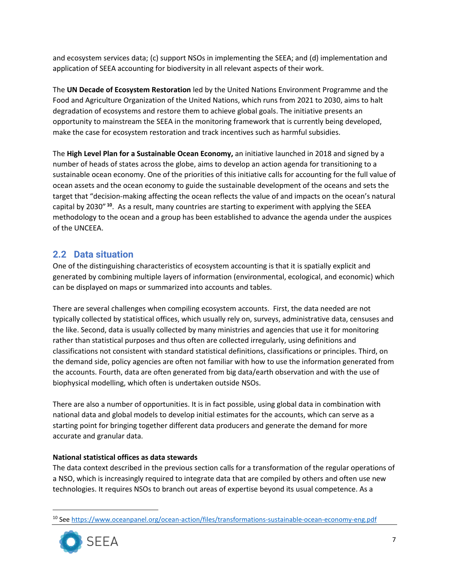and ecosystem services data; (c) support NSOs in implementing the SEEA; and (d) implementation and application of SEEA accounting for biodiversity in all relevant aspects of their work.

The **UN Decade of Ecosystem Restoration** led by the United Nations Environment Programme and the Food and Agriculture Organization of the United Nations, which runs from 2021 to 2030, aims to halt degradation of ecosystems and restore them to achieve global goals. The initiative presents an opportunity to mainstream the SEEA in the monitoring framework that is currently being developed, make the case for ecosystem restoration and track incentives such as harmful subsidies.

The **High Level Plan for a Sustainable Ocean Economy,** an initiative launched in 2018 and signed by a number of heads of states across the globe, aims to develop an action agenda for transitioning to a sustainable ocean economy. One of the priorities of this initiative calls for accounting for the full value of ocean assets and the ocean economy to guide the sustainable development of the oceans and sets the target that "decision-making affecting the ocean reflects the value of and impacts on the ocean's natural capital by 2030" **<sup>10</sup>**. As a result, many countries are starting to experiment with applying the SEEA methodology to the ocean and a group has been established to advance the agenda under the auspices of the UNCEEA.

### <span id="page-6-0"></span>**2.2 Data situation**

One of the distinguishing characteristics of ecosystem accounting is that it is spatially explicit and generated by combining multiple layers of information (environmental, ecological, and economic) which can be displayed on maps or summarized into accounts and tables.

There are several challenges when compiling ecosystem accounts. First, the data needed are not typically collected by statistical offices, which usually rely on, surveys, administrative data, censuses and the like. Second, data is usually collected by many ministries and agencies that use it for monitoring rather than statistical purposes and thus often are collected irregularly, using definitions and classifications not consistent with standard statistical definitions, classifications or principles. Third, on the demand side, policy agencies are often not familiar with how to use the information generated from the accounts. Fourth, data are often generated from big data/earth observation and with the use of biophysical modelling, which often is undertaken outside NSOs.

There are also a number of opportunities. It is in fact possible, using global data in combination with national data and global models to develop initial estimates for the accounts, which can serve as a starting point for bringing together different data producers and generate the demand for more accurate and granular data.

#### **National statistical offices as data stewards**

The data context described in the previous section calls for a transformation of the regular operations of a NSO, which is increasingly required to integrate data that are compiled by others and often use new technologies. It requires NSOs to branch out areas of expertise beyond its usual competence. As a

<sup>10</sup> Se[e https://www.oceanpanel.org/ocean-action/files/transformations-sustainable-ocean-economy-eng.pdf](https://www.oceanpanel.org/ocean-action/files/transformations-sustainable-ocean-economy-eng.pdf)

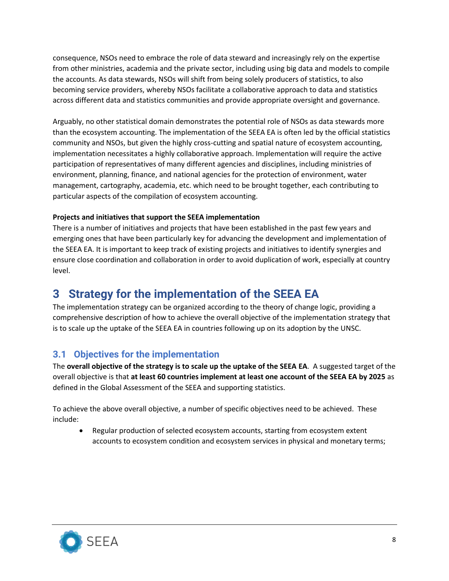consequence, NSOs need to embrace the role of data steward and increasingly rely on the expertise from other ministries, academia and the private sector, including using big data and models to compile the accounts. As data stewards, NSOs will shift from being solely producers of statistics, to also becoming service providers, whereby NSOs facilitate a collaborative approach to data and statistics across different data and statistics communities and provide appropriate oversight and governance.

Arguably, no other statistical domain demonstrates the potential role of NSOs as data stewards more than the ecosystem accounting. The implementation of the SEEA EA is often led by the official statistics community and NSOs, but given the highly cross-cutting and spatial nature of ecosystem accounting, implementation necessitates a highly collaborative approach. Implementation will require the active participation of representatives of many different agencies and disciplines, including ministries of environment, planning, finance, and national agencies for the protection of environment, water management, cartography, academia, etc. which need to be brought together, each contributing to particular aspects of the compilation of ecosystem accounting.

#### **Projects and initiatives that support the SEEA implementation**

There is a number of initiatives and projects that have been established in the past few years and emerging ones that have been particularly key for advancing the development and implementation of the SEEA EA. It is important to keep track of existing projects and initiatives to identify synergies and ensure close coordination and collaboration in order to avoid duplication of work, especially at country level.

# <span id="page-7-0"></span>**3 Strategy for the implementation of the SEEA EA**

The implementation strategy can be organized according to the theory of change logic, providing a comprehensive description of how to achieve the overall objective of the implementation strategy that is to scale up the uptake of the SEEA EA in countries following up on its adoption by the UNSC.

### <span id="page-7-1"></span>**3.1 Objectives for the implementation**

The **overall objective of the strategy is to scale up the uptake of the SEEA EA**. A suggested target of the overall objective is that **at least 60 countries implement at least one account of the SEEA EA by 2025** as defined in the Global Assessment of the SEEA and supporting statistics.

To achieve the above overall objective, a number of specific objectives need to be achieved. These include:

• Regular production of selected ecosystem accounts, starting from ecosystem extent accounts to ecosystem condition and ecosystem services in physical and monetary terms;

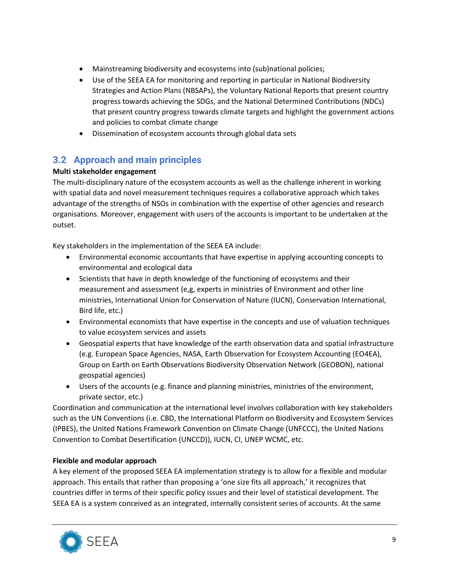- Mainstreaming biodiversity and ecosystems into (sub)national policies;
- Use of the SEEA EA for monitoring and reporting in particular in National Biodiversity Strategies and Action Plans (NBSAPs), the Voluntary National Reports that present country progress towards achieving the SDGs, and the National Determined Contributions (NDCs) that present country progress towards climate targets and highlight the government actions and policies to combat climate change
- Dissemination of ecosystem accounts through global data sets

### <span id="page-8-0"></span>**3.2 Approach and main principles**

#### **Multi stakeholder engagement**

The multi-disciplinary nature of the ecosystem accounts as well as the challenge inherent in working with spatial data and novel measurement techniques requires a collaborative approach which takes advantage of the strengths of NSOs in combination with the expertise of other agencies and research organisations. Moreover, engagement with users of the accounts is important to be undertaken at the outset.

Key stakeholders in the implementation of the SEEA EA include:

- Environmental economic accountants that have expertise in applying accounting concepts to environmental and ecological data
- Scientists that have in depth knowledge of the functioning of ecosystems and their measurement and assessment (e,g, experts in ministries of Environment and other line ministries, International Union for Conservation of Nature (IUCN), Conservation International, Bird life, etc.)
- Environmental economists that have expertise in the concepts and use of valuation techniques to value ecosystem services and assets
- Geospatial experts that have knowledge of the earth observation data and spatial infrastructure (e.g. European Space Agencies, NASA, Earth Observation for Ecosystem Accounting (EO4EA), Group on Earth on Earth Observations Biodiversity Observation Network (GEOBON), national geospatial agencies)
- Users of the accounts (e.g. finance and planning ministries, ministries of the environment, private sector, etc.)

Coordination and communication at the international level involves collaboration with key stakeholders such as the UN Conventions (i.e. CBD, the International Platform on Biodiversity and Ecosystem Services (IPBES), the United Nations Framework Convention on Climate Change (UNFCCC), the United Nations Convention to Combat Desertification (UNCCD)), IUCN, CI, UNEP WCMC, etc.

#### **Flexible and modular approach**

A key element of the proposed SEEA EA implementation strategy is to allow for a flexible and modular approach. This entails that rather than proposing a 'one size fits all approach,' it recognizes that countries differ in terms of their specific policy issues and their level of statistical development. The SEEA EA is a system conceived as an integrated, internally consistent series of accounts. At the same

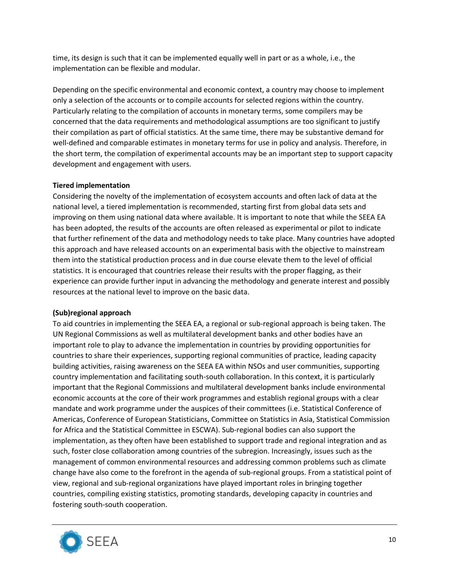time, its design is such that it can be implemented equally well in part or as a whole, i.e., the implementation can be flexible and modular.

Depending on the specific environmental and economic context, a country may choose to implement only a selection of the accounts or to compile accounts for selected regions within the country. Particularly relating to the compilation of accounts in monetary terms, some compilers may be concerned that the data requirements and methodological assumptions are too significant to justify their compilation as part of official statistics. At the same time, there may be substantive demand for well-defined and comparable estimates in monetary terms for use in policy and analysis. Therefore, in the short term, the compilation of experimental accounts may be an important step to support capacity development and engagement with users.

#### **Tiered implementation**

Considering the novelty of the implementation of ecosystem accounts and often lack of data at the national level, a tiered implementation is recommended, starting first from global data sets and improving on them using national data where available. It is important to note that while the SEEA EA has been adopted, the results of the accounts are often released as experimental or pilot to indicate that further refinement of the data and methodology needs to take place. Many countries have adopted this approach and have released accounts on an experimental basis with the objective to mainstream them into the statistical production process and in due course elevate them to the level of official statistics. It is encouraged that countries release their results with the proper flagging, as their experience can provide further input in advancing the methodology and generate interest and possibly resources at the national level to improve on the basic data.

#### **(Sub)regional approach**

To aid countries in implementing the SEEA EA, a regional or sub-regional approach is being taken. The UN Regional Commissions as well as multilateral development banks and other bodies have an important role to play to advance the implementation in countries by providing opportunities for countries to share their experiences, supporting regional communities of practice, leading capacity building activities, raising awareness on the SEEA EA within NSOs and user communities, supporting country implementation and facilitating south-south collaboration. In this context, it is particularly important that the Regional Commissions and multilateral development banks include environmental economic accounts at the core of their work programmes and establish regional groups with a clear mandate and work programme under the auspices of their committees (i.e. Statistical Conference of Americas, Conference of European Statisticians, Committee on Statistics in Asia, Statistical Commission for Africa and the Statistical Committee in ESCWA). Sub-regional bodies can also support the implementation, as they often have been established to support trade and regional integration and as such, foster close collaboration among countries of the subregion. Increasingly, issues such as the management of common environmental resources and addressing common problems such as climate change have also come to the forefront in the agenda of sub-regional groups. From a statistical point of view, regional and sub-regional organizations have played important roles in bringing together countries, compiling existing statistics, promoting standards, developing capacity in countries and fostering south-south cooperation.

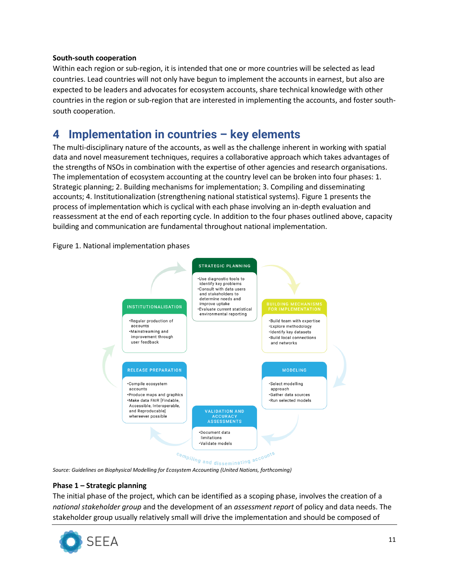#### **South-south cooperation**

Within each region or sub-region, it is intended that one or more countries will be selected as lead countries. Lead countries will not only have begun to implement the accounts in earnest, but also are expected to be leaders and advocates for ecosystem accounts, share technical knowledge with other countries in the region or sub-region that are interested in implementing the accounts, and foster southsouth cooperation.

## <span id="page-10-0"></span>**4 Implementation in countries – key elements**

The multi-disciplinary nature of the accounts, as well as the challenge inherent in working with spatial data and novel measurement techniques, requires a collaborative approach which takes advantages of the strengths of NSOs in combination with the expertise of other agencies and research organisations. The implementation of ecosystem accounting at the country level can be broken into four phases: 1. Strategic planning; 2. Building mechanisms for implementation; 3. Compiling and disseminating accounts; 4. Institutionalization (strengthening national statistical systems). Figure 1 presents the process of implementation which is cyclical with each phase involving an in-depth evaluation and reassessment at the end of each reporting cycle. In addition to the four phases outlined above, capacity building and communication are fundamental throughout national implementation.

#### Figure 1. National implementation phases



*Source: Guidelines on Biophysical Modelling for Ecosystem Accounting (United Nations, forthcoming)* 

#### **Phase 1 – Strategic planning**

The initial phase of the project, which can be identified as a scoping phase, involves the creation of a *national stakeholder group* and the development of an *assessment report* of policy and data needs. The stakeholder group usually relatively small will drive the implementation and should be composed of

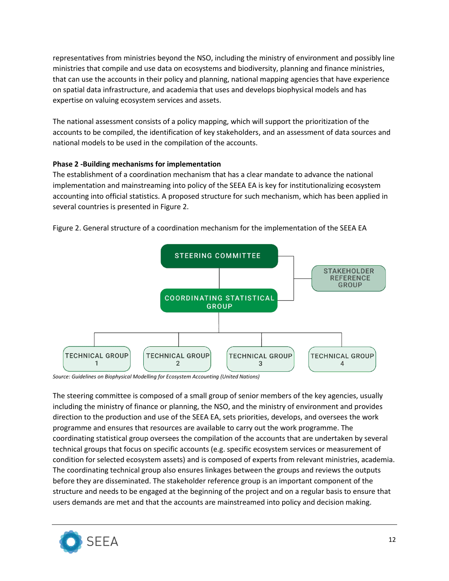representatives from ministries beyond the NSO, including the ministry of environment and possibly line ministries that compile and use data on ecosystems and biodiversity, planning and finance ministries, that can use the accounts in their policy and planning, national mapping agencies that have experience on spatial data infrastructure, and academia that uses and develops biophysical models and has expertise on valuing ecosystem services and assets.

The national assessment consists of a policy mapping, which will support the prioritization of the accounts to be compiled, the identification of key stakeholders, and an assessment of data sources and national models to be used in the compilation of the accounts.

#### **Phase 2 -Building mechanisms for implementation**

The establishment of a coordination mechanism that has a clear mandate to advance the national implementation and mainstreaming into policy of the SEEA EA is key for institutionalizing ecosystem accounting into official statistics. A proposed structure for such mechanism, which has been applied in several countries is presented in Figure 2.



Figure 2. General structure of a coordination mechanism for the implementation of the SEEA EA

*Source: Guidelines on Biophysical Modelling for Ecosystem Accounting (United Nations)* 

The steering committee is composed of a small group of senior members of the key agencies, usually including the ministry of finance or planning, the NSO, and the ministry of environment and provides direction to the production and use of the SEEA EA, sets priorities, develops, and oversees the work programme and ensures that resources are available to carry out the work programme. The coordinating statistical group oversees the compilation of the accounts that are undertaken by several technical groups that focus on specific accounts (e.g. specific ecosystem services or measurement of condition for selected ecosystem assets) and is composed of experts from relevant ministries, academia. The coordinating technical group also ensures linkages between the groups and reviews the outputs before they are disseminated. The stakeholder reference group is an important component of the structure and needs to be engaged at the beginning of the project and on a regular basis to ensure that users demands are met and that the accounts are mainstreamed into policy and decision making.

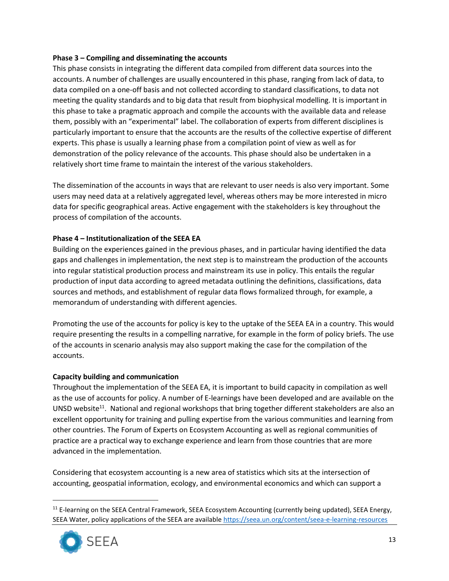#### **Phase 3 – Compiling and disseminating the accounts**

This phase consists in integrating the different data compiled from different data sources into the accounts. A number of challenges are usually encountered in this phase, ranging from lack of data, to data compiled on a one-off basis and not collected according to standard classifications, to data not meeting the quality standards and to big data that result from biophysical modelling. It is important in this phase to take a pragmatic approach and compile the accounts with the available data and release them, possibly with an "experimental" label. The collaboration of experts from different disciplines is particularly important to ensure that the accounts are the results of the collective expertise of different experts. This phase is usually a learning phase from a compilation point of view as well as for demonstration of the policy relevance of the accounts. This phase should also be undertaken in a relatively short time frame to maintain the interest of the various stakeholders.

The dissemination of the accounts in ways that are relevant to user needs is also very important. Some users may need data at a relatively aggregated level, whereas others may be more interested in micro data for specific geographical areas. Active engagement with the stakeholders is key throughout the process of compilation of the accounts.

#### **Phase 4 – Institutionalization of the SEEA EA**

Building on the experiences gained in the previous phases, and in particular having identified the data gaps and challenges in implementation, the next step is to mainstream the production of the accounts into regular statistical production process and mainstream its use in policy. This entails the regular production of input data according to agreed metadata outlining the definitions, classifications, data sources and methods, and establishment of regular data flows formalized through, for example, a memorandum of understanding with different agencies.

Promoting the use of the accounts for policy is key to the uptake of the SEEA EA in a country. This would require presenting the results in a compelling narrative, for example in the form of policy briefs. The use of the accounts in scenario analysis may also support making the case for the compilation of the accounts.

#### **Capacity building and communication**

Throughout the implementation of the SEEA EA, it is important to build capacity in compilation as well as the use of accounts for policy. A number of E-learnings have been developed and are available on the UNSD website<sup>11</sup>. National and regional workshops that bring together different stakeholders are also an excellent opportunity for training and pulling expertise from the various communities and learning from other countries. The Forum of Experts on Ecosystem Accounting as well as regional communities of practice are a practical way to exchange experience and learn from those countries that are more advanced in the implementation.

Considering that ecosystem accounting is a new area of statistics which sits at the intersection of accounting, geospatial information, ecology, and environmental economics and which can support a

<sup>&</sup>lt;sup>11</sup> E-learning on the SEEA Central Framework, SEEA Ecosystem Accounting (currently being updated), SEEA Energy, SEEA Water, policy applications of the SEEA are availabl[e https://seea.un.org/content/seea-e-learning-resources](https://seea.un.org/content/seea-e-learning-resources)

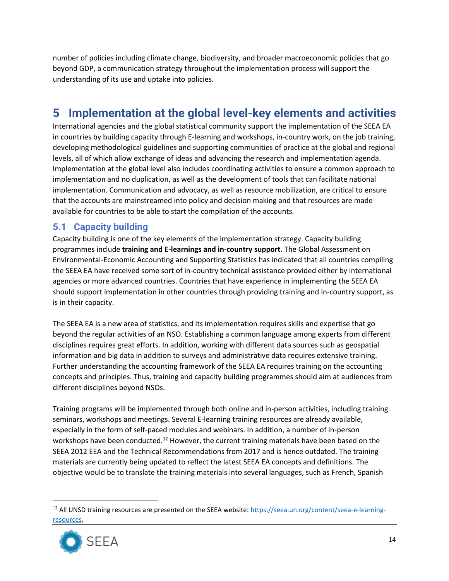number of policies including climate change, biodiversity, and broader macroeconomic policies that go beyond GDP, a communication strategy throughout the implementation process will support the understanding of its use and uptake into policies.

# <span id="page-13-0"></span>**5 Implementation at the global level-key elements and activities**

International agencies and the global statistical community support the implementation of the SEEA EA in countries by building capacity through E-learning and workshops, in-country work, on the job training, developing methodological guidelines and supporting communities of practice at the global and regional levels, all of which allow exchange of ideas and advancing the research and implementation agenda. Implementation at the global level also includes coordinating activities to ensure a common approach to implementation and no duplication, as well as the development of tools that can facilitate national implementation. Communication and advocacy, as well as resource mobilization, are critical to ensure that the accounts are mainstreamed into policy and decision making and that resources are made available for countries to be able to start the compilation of the accounts.

### <span id="page-13-1"></span>**5.1 Capacity building**

Capacity building is one of the key elements of the implementation strategy. Capacity building programmes include **training and E-learnings and in-country support**. The Global Assessment on Environmental-Economic Accounting and Supporting Statistics has indicated that all countries compiling the SEEA EA have received some sort of in-country technical assistance provided either by international agencies or more advanced countries. Countries that have experience in implementing the SEEA EA should support implementation in other countries through providing training and in-country support, as is in their capacity.

The SEEA EA is a new area of statistics, and its implementation requires skills and expertise that go beyond the regular activities of an NSO. Establishing a common language among experts from different disciplines requires great efforts. In addition, working with different data sources such as geospatial information and big data in addition to surveys and administrative data requires extensive training. Further understanding the accounting framework of the SEEA EA requires training on the accounting concepts and principles. Thus, training and capacity building programmes should aim at audiences from different disciplines beyond NSOs.

Training programs will be implemented through both online and in-person activities, including training seminars, workshops and meetings. Several E-learning training resources are already available, especially in the form of self-paced modules and webinars. In addition, a number of in-person workshops have been conducted.<sup>12</sup> However, the current training materials have been based on the SEEA 2012 EEA and the Technical Recommendations from 2017 and is hence outdated. The training materials are currently being updated to reflect the latest SEEA EA concepts and definitions. The objective would be to translate the training materials into several languages, such as French, Spanish

<sup>&</sup>lt;sup>12</sup> All UNSD training resources are presented on the SEEA website: [https://seea.un.org/content/seea-e-learning](https://seea.un.org/content/seea-e-learning-resources)[resources.](https://seea.un.org/content/seea-e-learning-resources)

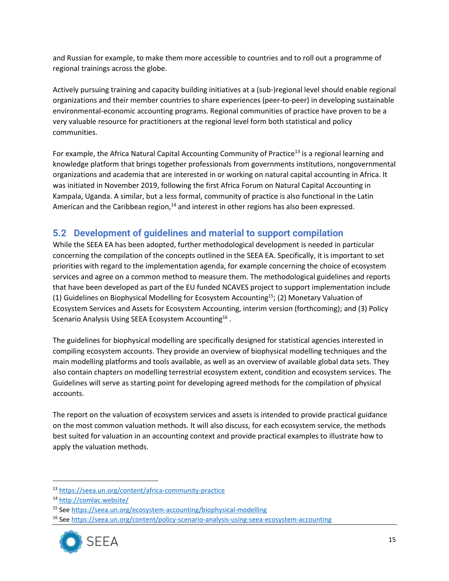and Russian for example, to make them more accessible to countries and to roll out a programme of regional trainings across the globe.

Actively pursuing training and capacity building initiatives at a (sub-)regional level should enable regional organizations and their member countries to share experiences (peer-to-peer) in developing sustainable environmental-economic accounting programs. Regional communities of practice have proven to be a very valuable resource for practitioners at the regional level form both statistical and policy communities.

For example, the Africa Natural Capital Accounting Community of Practice<sup>13</sup> is a regional learning and knowledge platform that brings together professionals from governments institutions, nongovernmental organizations and academia that are interested in or working on natural capital accounting in Africa. It was initiated in November 2019, following the first Africa Forum on Natural Capital Accounting in Kampala, Uganda. A similar, but a less formal, community of practice is also functional in the Latin American and the Caribbean region, $14$  and interest in other regions has also been expressed.

### <span id="page-14-0"></span>**5.2 Development of guidelines and material to support compilation**

While the SEEA EA has been adopted, further methodological development is needed in particular concerning the compilation of the concepts outlined in the SEEA EA. Specifically, it is important to set priorities with regard to the implementation agenda, for example concerning the choice of ecosystem services and agree on a common method to measure them. The methodological guidelines and reports that have been developed as part of the EU funded NCAVES project to support implementation include (1) Guidelines on Biophysical Modelling for Ecosystem Accounting<sup>15</sup>; (2) Monetary Valuation of Ecosystem Services and Assets for Ecosystem Accounting, interim version (forthcoming); and (3) Policy Scenario Analysis Using SEEA Ecosystem Accounting<sup>16</sup>.

The guidelines for biophysical modelling are specifically designed for statistical agencies interested in compiling ecosystem accounts. They provide an overview of biophysical modelling techniques and the main modelling platforms and tools available, as well as an overview of available global data sets. They also contain chapters on modelling terrestrial ecosystem extent, condition and ecosystem services. The Guidelines will serve as starting point for developing agreed methods for the compilation of physical accounts.

The report on the valuation of ecosystem services and assets is intended to provide practical guidance on the most common valuation methods. It will also discuss, for each ecosystem service, the methods best suited for valuation in an accounting context and provide practical examples to illustrate how to apply the valuation methods.

<sup>16</sup> Se[e https://seea.un.org/content/policy-scenario-analysis-using-seea-ecosystem-accounting](https://seea.un.org/content/policy-scenario-analysis-using-seea-ecosystem-accounting)



<sup>13</sup> <https://seea.un.org/content/africa-community-practice>

<sup>14</sup> <http://comlac.website/>

<sup>15</sup> Se[e https://seea.un.org/ecosystem-accounting/biophysical-modelling](https://seea.un.org/ecosystem-accounting/biophysical-modelling)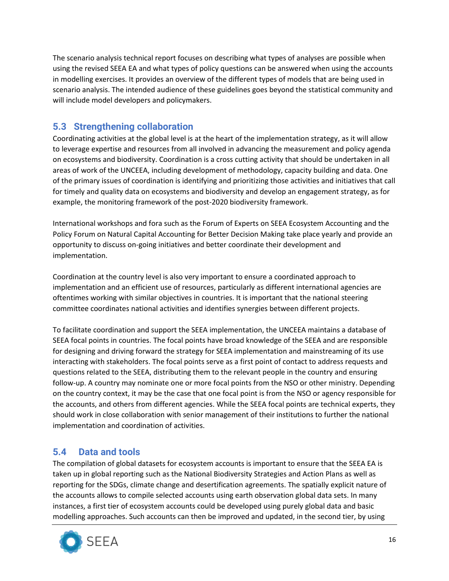The scenario analysis technical report focuses on describing what types of analyses are possible when using the revised SEEA EA and what types of policy questions can be answered when using the accounts in modelling exercises. It provides an overview of the different types of models that are being used in scenario analysis. The intended audience of these guidelines goes beyond the statistical community and will include model developers and policymakers.

### <span id="page-15-0"></span>**5.3 Strengthening collaboration**

Coordinating activities at the global level is at the heart of the implementation strategy, as it will allow to leverage expertise and resources from all involved in advancing the measurement and policy agenda on ecosystems and biodiversity. Coordination is a cross cutting activity that should be undertaken in all areas of work of the UNCEEA, including development of methodology, capacity building and data. One of the primary issues of coordination is identifying and prioritizing those activities and initiatives that call for timely and quality data on ecosystems and biodiversity and develop an engagement strategy, as for example, the monitoring framework of the post-2020 biodiversity framework.

International workshops and fora such as the Forum of Experts on SEEA Ecosystem Accounting and the Policy Forum on Natural Capital Accounting for Better Decision Making take place yearly and provide an opportunity to discuss on-going initiatives and better coordinate their development and implementation.

Coordination at the country level is also very important to ensure a coordinated approach to implementation and an efficient use of resources, particularly as different international agencies are oftentimes working with similar objectives in countries. It is important that the national steering committee coordinates national activities and identifies synergies between different projects.

To facilitate coordination and support the SEEA implementation, the UNCEEA maintains a database of SEEA focal points in countries. The focal points have broad knowledge of the SEEA and are responsible for designing and driving forward the strategy for SEEA implementation and mainstreaming of its use interacting with stakeholders. The focal points serve as a first point of contact to address requests and questions related to the SEEA, distributing them to the relevant people in the country and ensuring follow-up. A country may nominate one or more focal points from the NSO or other ministry. Depending on the country context, it may be the case that one focal point is from the NSO or agency responsible for the accounts, and others from different agencies. While the SEEA focal points are technical experts, they should work in close collaboration with senior management of their institutions to further the national implementation and coordination of activities.

### <span id="page-15-1"></span>**5.4 Data and tools**

The compilation of global datasets for ecosystem accounts is important to ensure that the SEEA EA is taken up in global reporting such as the National Biodiversity Strategies and Action Plans as well as reporting for the SDGs, climate change and desertification agreements. The spatially explicit nature of the accounts allows to compile selected accounts using earth observation global data sets. In many instances, a first tier of ecosystem accounts could be developed using purely global data and basic modelling approaches. Such accounts can then be improved and updated, in the second tier, by using

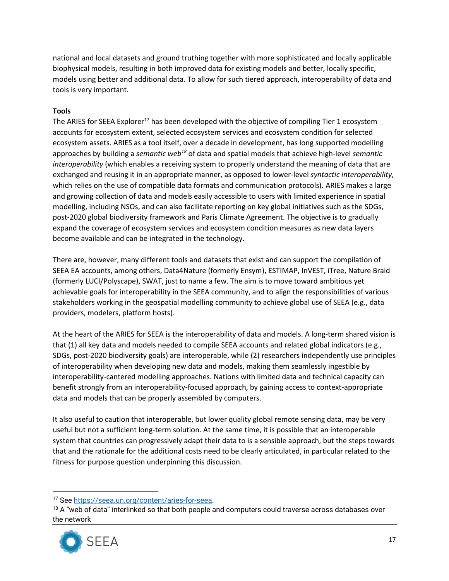national and local datasets and ground truthing together with more sophisticated and locally applicable biophysical models, resulting in both improved data for existing models and better, locally specific, models using better and additional data. To allow for such tiered approach, interoperability of data and tools is very important.

#### **Tools**

The ARIES for SEEA Explorer<sup>17</sup> has been developed with the objective of compiling Tier 1 ecosystem accounts for ecosystem extent, selected ecosystem services and ecosystem condition for selected ecosystem assets. ARIES as a tool itself, over a decade in development, has long supported modelling approaches by building a *semantic web<sup>18</sup>* of data and spatial models that achieve high-level *semantic interoperability* (which enables a receiving system to properly understand the meaning of data that are exchanged and reusing it in an appropriate manner, as opposed to lower-level *syntactic interoperability*, which relies on the use of compatible data formats and communication protocols)*.* ARIES makes a large and growing collection of data and models easily accessible to users with limited experience in spatial modelling, including NSOs, and can also facilitate reporting on key global initiatives such as the SDGs, post-2020 global biodiversity framework and Paris Climate Agreement. The objective is to gradually expand the coverage of ecosystem services and ecosystem condition measures as new data layers become available and can be integrated in the technology.

There are, however, many different tools and datasets that exist and can support the compilation of SEEA EA accounts, among others, Data4Nature (formerly Ensym), ESTIMAP, InVEST, iTree, Nature Braid (formerly LUCI/Polyscape), SWAT, just to name a few. The aim is to move toward ambitious yet achievable goals for interoperability in the SEEA community, and to align the responsibilities of various stakeholders working in the geospatial modelling community to achieve global use of SEEA (e.g., data providers, modelers, platform hosts).

At the heart of the ARIES for SEEA is the interoperability of data and models. A long-term shared vision is that (1) all key data and models needed to compile SEEA accounts and related global indicators (e.g., SDGs, post-2020 biodiversity goals) are interoperable, while (2) researchers independently use principles of interoperability when developing new data and models, making them seamlessly ingestible by interoperability-cantered modelling approaches. Nations with limited data and technical capacity can benefit strongly from an interoperability-focused approach, by gaining access to context-appropriate data and models that can be properly assembled by computers.

It also useful to caution that interoperable, but lower quality global remote sensing data, may be very useful but not a sufficient long-term solution. At the same time, it is possible that an interoperable system that countries can progressively adapt their data to is a sensible approach, but the steps towards that and the rationale for the additional costs need to be clearly articulated, in particular related to the fitness for purpose question underpinning this discussion.

 $18$  A "web of data" interlinked so that both people and computers could traverse across databases over the network



<sup>&</sup>lt;sup>17</sup> See https://seea.un.org/content/aries-for-seea.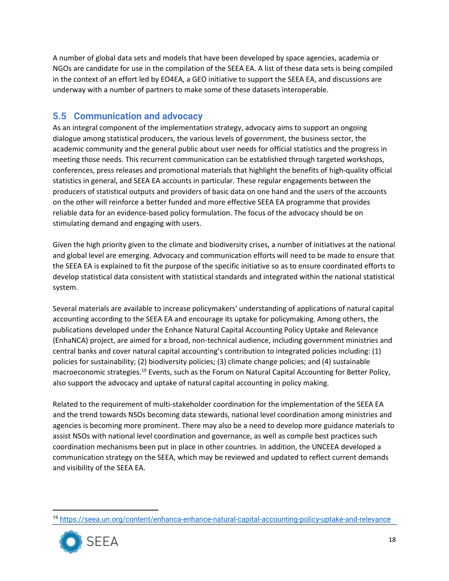A number of global data sets and models that have been developed by space agencies, academia or NGOs are candidate for use in the compilation of the SEEA EA. A list of these data sets is being compiled in the context of an effort led by EO4EA, a GEO initiative to support the SEEA EA, and discussions are underway with a number of partners to make some of these datasets interoperable.

### <span id="page-17-0"></span>**5.5 Communication and advocacy**

As an integral component of the implementation strategy, advocacy aims to support an ongoing dialogue among statistical producers, the various levels of government, the business sector, the academic community and the general public about user needs for official statistics and the progress in meeting those needs. This recurrent communication can be established through targeted workshops, conferences, press releases and promotional materials that highlight the benefits of high-quality official statistics in general, and SEEA EA accounts in particular. These regular engagements between the producers of statistical outputs and providers of basic data on one hand and the users of the accounts on the other will reinforce a better funded and more effective SEEA EA programme that provides reliable data for an evidence-based policy formulation. The focus of the advocacy should be on stimulating demand and engaging with users.

Given the high priority given to the climate and biodiversity crises, a number of initiatives at the national and global level are emerging. Advocacy and communication efforts will need to be made to ensure that the SEEA EA is explained to fit the purpose of the specific initiative so as to ensure coordinated efforts to develop statistical data consistent with statistical standards and integrated within the national statistical system.

Several materials are available to increase policymakers' understanding of applications of natural capital accounting according to the SEEA EA and encourage its uptake for policymaking. Among others, the publications developed under the Enhance Natural Capital Accounting Policy Uptake and Relevance (EnhaNCA) project, are aimed for a broad, non-technical audience, including government ministries and central banks and cover natural capital accounting's contribution to integrated policies including: (1) policies for sustainability; (2) biodiversity policies; (3) climate change policies; and (4) sustainable macroeconomic strategies.<sup>19</sup> Events, such as the Forum on Natural Capital Accounting for Better Policy, also support the advocacy and uptake of natural capital accounting in policy making.

Related to the requirement of multi-stakeholder coordination for the implementation of the SEEA EA and the trend towards NSOs becoming data stewards, national level coordination among ministries and agencies is becoming more prominent. There may also be a need to develop more guidance materials to assist NSOs with national level coordination and governance, as well as compile best practices such coordination mechanisms been put in place in other countries. In addition, the UNCEEA developed a communication strategy on the SEEA, which may be reviewed and updated to reflect current demands and visibility of the SEEA EA.

<sup>19</sup> <https://seea.un.org/content/enhanca-enhance-natural-capital-accounting-policy-uptake-and-relevance>

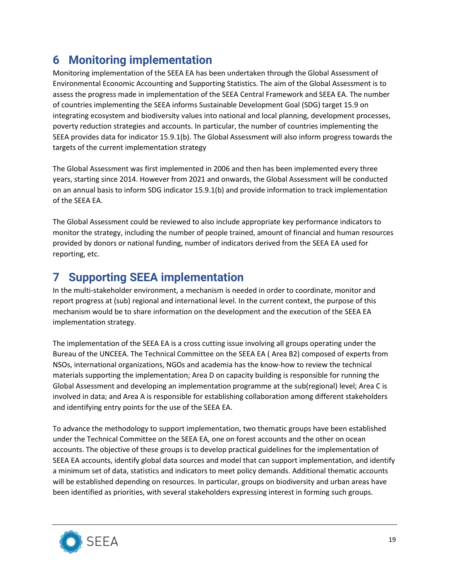# <span id="page-18-0"></span>**6 Monitoring implementation**

Monitoring implementation of the SEEA EA has been undertaken through the Global Assessment of Environmental Economic Accounting and Supporting Statistics. The aim of the Global Assessment is to assess the progress made in implementation of the SEEA Central Framework and SEEA EA. The number of countries implementing the SEEA informs Sustainable Development Goal (SDG) target 15.9 on integrating ecosystem and biodiversity values into national and local planning, development processes, poverty reduction strategies and accounts. In particular, the number of countries implementing the SEEA provides data for indicator 15.9.1(b). The Global Assessment will also inform progress towards the targets of the current implementation strategy

The Global Assessment was first implemented in 2006 and then has been implemented every three years, starting since 2014. However from 2021 and onwards, the Global Assessment will be conducted on an annual basis to inform SDG indicator 15.9.1(b) and provide information to track implementation of the SEEA EA.

The Global Assessment could be reviewed to also include appropriate key performance indicators to monitor the strategy, including the number of people trained, amount of financial and human resources provided by donors or national funding, number of indicators derived from the SEEA EA used for reporting, etc.

# <span id="page-18-1"></span>**7 Supporting SEEA implementation**

In the multi-stakeholder environment, a mechanism is needed in order to coordinate, monitor and report progress at (sub) regional and international level. In the current context, the purpose of this mechanism would be to share information on the development and the execution of the SEEA EA implementation strategy.

The implementation of the SEEA EA is a cross cutting issue involving all groups operating under the Bureau of the UNCEEA. The Technical Committee on the SEEA EA ( Area B2) composed of experts from NSOs, international organizations, NGOs and academia has the know-how to review the technical materials supporting the implementation; Area D on capacity building is responsible for running the Global Assessment and developing an implementation programme at the sub(regional) level; Area C is involved in data; and Area A is responsible for establishing collaboration among different stakeholders and identifying entry points for the use of the SEEA EA.

To advance the methodology to support implementation, two thematic groups have been established under the Technical Committee on the SEEA EA, one on forest accounts and the other on ocean accounts. The objective of these groups is to develop practical guidelines for the implementation of SEEA EA accounts, identify global data sources and model that can support implementation, and identify a minimum set of data, statistics and indicators to meet policy demands. Additional thematic accounts will be established depending on resources. In particular, groups on biodiversity and urban areas have been identified as priorities, with several stakeholders expressing interest in forming such groups.